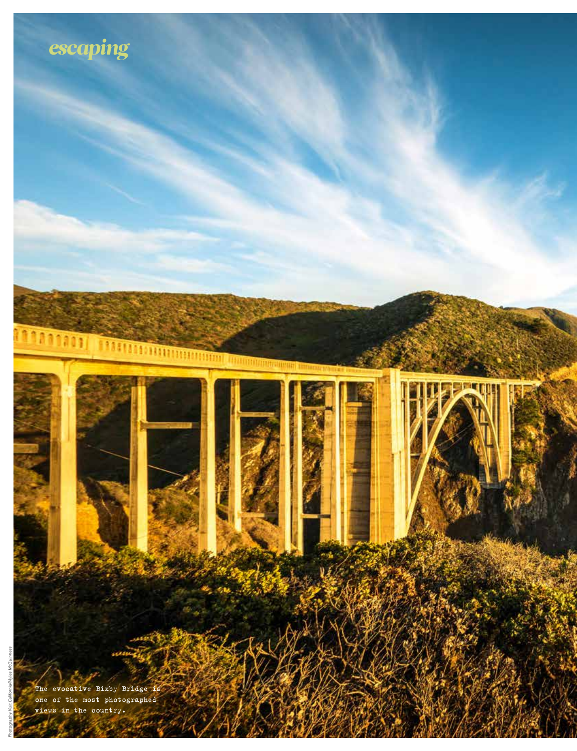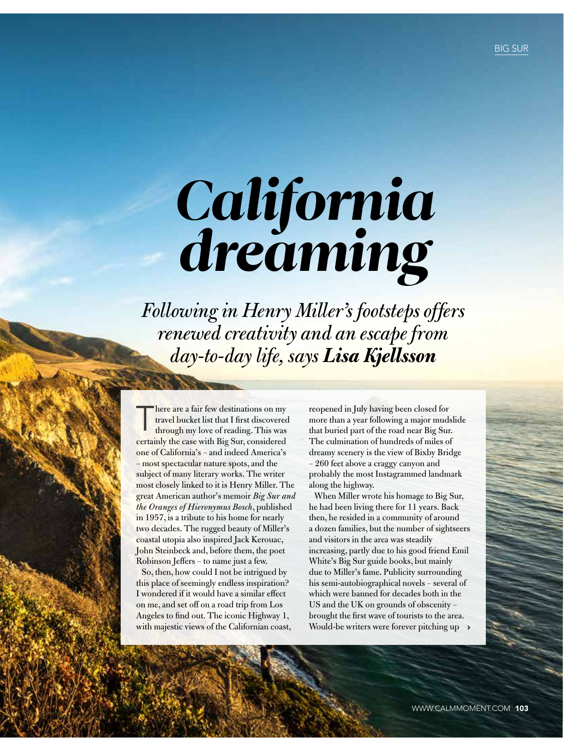# *California dreaming*

*Following in Henry Miller's footsteps offers renewed creativity and an escape from day-to-day life, says Lisa Kjellsson* 

There are a fair few destinations on my<br>travel bucket list that I first discovered<br>through my love of reading. This was travel bucket list that I first discovered certainly the case with Big Sur, considered one of California's – and indeed America's – most spectacular nature spots, and the subject of many literary works. The writer most closely linked to it is Henry Miller. The great American author's memoir *Big Sur and the Oranges of Hieronymus Bosch*, published in 1957, is a tribute to his home for nearly two decades. The rugged beauty of Miller's coastal utopia also inspired Jack Kerouac, John Steinbeck and, before them, the poet Robinson Jeffers – to name just a few.

So, then, how could I not be intrigued by this place of seemingly endless inspiration? I wondered if it would have a similar effect on me, and set off on a road trip from Los Angeles to find out. The iconic Highway 1, with majestic views of the Californian coast,

reopened in July having been closed for more than a year following a major mudslide that buried part of the road near Big Sur. The culmination of hundreds of miles of dreamy scenery is the view of Bixby Bridge – 260 feet above a craggy canyon and probably the most Instagrammed landmark along the highway.

When Miller wrote his homage to Big Sur, he had been living there for 11 years. Back then, he resided in a community of around a dozen families, but the number of sightseers and visitors in the area was steadily increasing, partly due to his good friend Emil White's Big Sur guide books, but mainly due to Miller's fame. Publicity surrounding his semi-autobiographical novels – several of which were banned for decades both in the US and the UK on grounds of obscenity – brought the first wave of tourists to the area. Would-be writers were forever pitching up  $\rightarrow$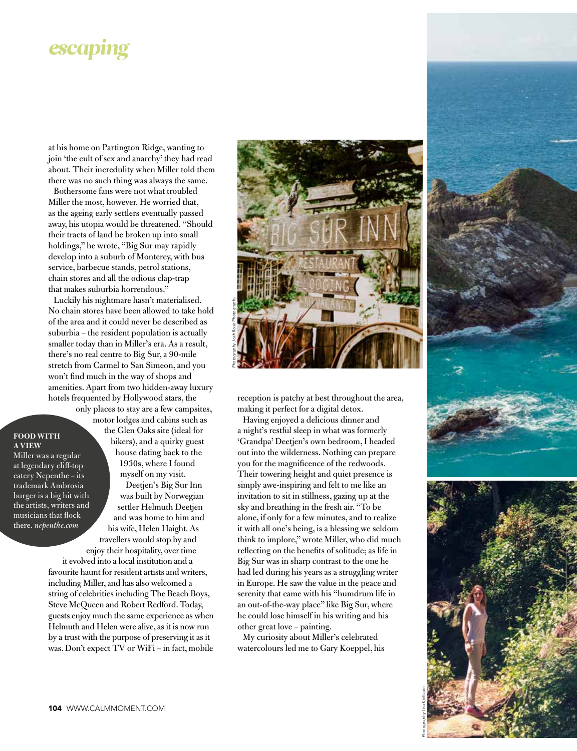## *escaping*

at his home on Partington Ridge, wanting to join 'the cult of sex and anarchy' they had read about. Their incredulity when Miller told them there was no such thing was always the same.

Bothersome fans were not what troubled Miller the most, however. He worried that, as the ageing early settlers eventually passed away, his utopia would be threatened. "Should their tracts of land be broken up into small holdings," he wrote, "Big Sur may rapidly develop into a suburb of Monterey, with bus service, barbecue stands, petrol stations, chain stores and all the odious clap-trap that makes suburbia horrendous.'

Luckily his nightmare hasn't materialised. No chain stores have been allowed to take hold of the area and it could never be described as suburbia – the resident population is actually smaller today than in Miller's era. As a result, there's no real centre to Big Sur, a 90-mile stretch from Carmel to San Simeon, and you won't find much in the way of shops and amenities. Apart from two hidden-away luxury hotels frequented by Hollywood stars, the only places to stay are a few campsites,

#### **FOOD WITH A VIEW**

Miller was a regular at legendary cliff-top eatery Nepenthe – its trademark Ambrosia burger is a big hit with the artists, writers and musicians that flock there. *nepenthe.com*

motor lodges and cabins such as the Glen Oaks site (ideal for hikers), and a quirky guest house dating back to the 1930s, where I found myself on my visit. Deetjen's Big Sur Inn was built by Norwegian settler Helmuth Deetjen and was home to him and his wife, Helen Haight. As travellers would stop by and

enjoy their hospitality, over time it evolved into a local institution and a favourite haunt for resident artists and writers, including Miller, and has also welcomed a string of celebrities including The Beach Boys, Steve McQueen and Robert Redford. Today, guests enjoy much the same experience as when Helmuth and Helen were alive, as it is now run by a trust with the purpose of preserving it as it was. Don't expect TV or WiFi – in fact, mobile



reception is patchy at best throughout the area, making it perfect for a digital detox.

Having enjoyed a delicious dinner and a night's restful sleep in what was formerly 'Grandpa' Deetjen's own bedroom, I headed out into the wilderness. Nothing can prepare you for the magnificence of the redwoods. Their towering height and quiet presence is simply awe-inspiring and felt to me like an invitation to sit in stillness, gazing up at the sky and breathing in the fresh air. "To be alone, if only for a few minutes, and to realize it with all one's being, is a blessing we seldom think to implore," wrote Miller, who did much reflecting on the benefits of solitude; as life in Big Sur was in sharp contrast to the one he had led during his years as a struggling writer in Europe. He saw the value in the peace and serenity that came with his "humdrum life in an out-of-the-way place" like Big Sur, where he could lose himself in his writing and his other great love – painting.

My curiosity about Miller's celebrated watercolours led me to Gary Koeppel, his



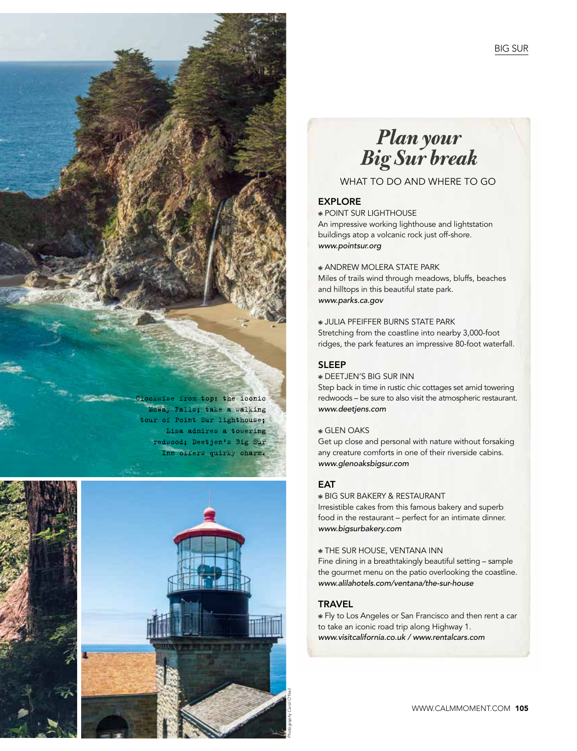## *Plan your Big Sur break*

## WHAT TO DO AND WHERE TO GO

#### EXPLORE

### POINT SUR LIGHTHOUSE An impressive working lighthouse and lightstation

buildings atop a volcanic rock just off-shore. *www.pointsur.org*

ANDREW MOLERA STATE PARK Miles of trails wind through meadows, bluffs, beaches and hilltops in this beautiful state park. *www.parks.ca.gov*

JULIA PFEIFFER BURNS STATE PARK Stretching from the coastline into nearby 3,000-foot ridges, the park features an impressive 80-foot waterfall.

#### SLEEP

DEETJEN'S BIG SUR INN

Step back in time in rustic chic cottages set amid towering redwoods – be sure to also visit the atmospheric restaurant. *www.deetjens.com*

#### GLEN OAKS

Get up close and personal with nature without forsaking any creature comforts in one of their riverside cabins. *www.glenoaksbigsur.com*

#### **FAT**

#### BIG SUR BAKERY & RESTAURANT

Irresistible cakes from this famous bakery and superb food in the restaurant – perfect for an intimate dinner. *www.bigsurbakery.com*

#### THE SUR HOUSE, VENTANA INN

Fine dining in a breathtakingly beautiful setting – sample the gourmet menu on the patio overlooking the coastline. *www.alilahotels.com/ventana/the-sur-house*

#### **TRAVEL**

 Fly to Los Angeles or San Francisco and then rent a car to take an iconic road trip along Highway 1. *www.visitcalifornia.co.uk / www.rentalcars.com*

McWay Falls; take a walking tour of Point Sur lighthouse; Lisa admires a towering redwood; Deetjen's Big Sur Inn offers quirky charm.

ockwise from top: the iconic